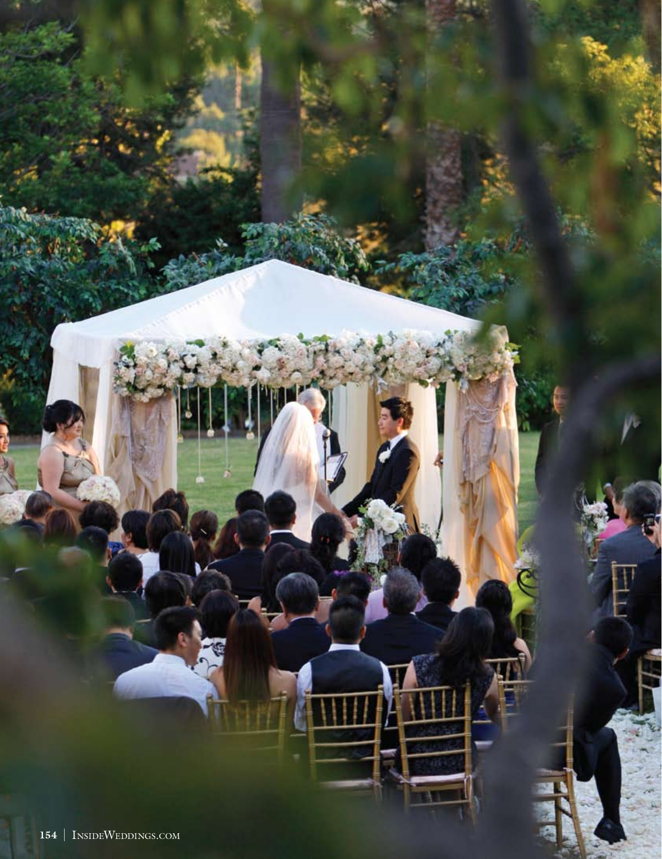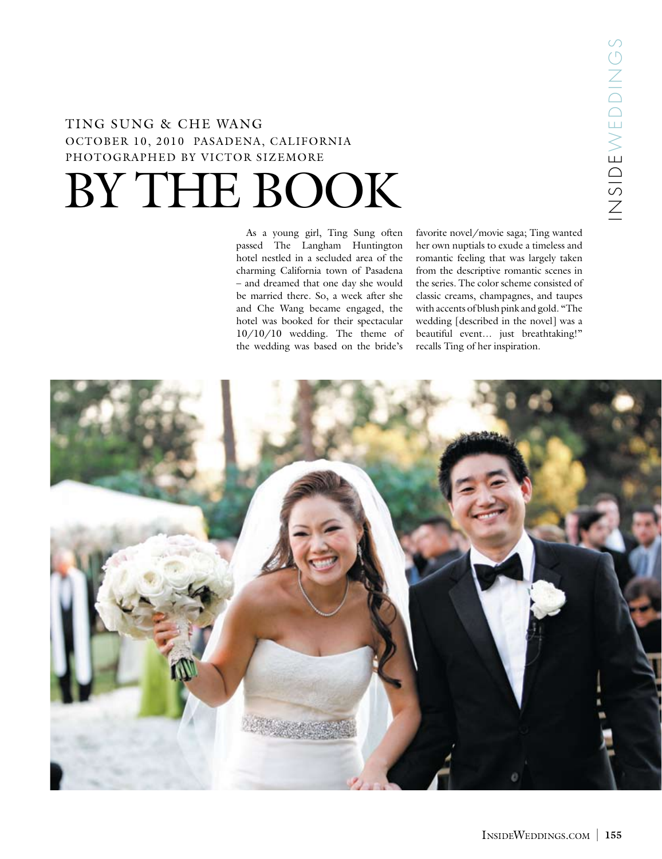## TING SUNG & CHE WANG OCTOBER 10, 2010 PASADENA, CALIFORNIA PHOTOGRAPHED BY VICTOR SIZEMORE

## BY THE BOOK

As a young girl, Ting Sung often passed The Langham Huntington hotel nestled in a secluded area of the charming California town of Pasadena – and dreamed that one day she would be married there. So, a week after she and Che Wang became engaged, the hotel was booked for their spectacular 10/10/10 wedding. The theme of the wedding was based on the bride's

favorite novel/movie saga; Ting wanted her own nuptials to exude a timeless and romantic feeling that was largely taken from the descriptive romantic scenes in the series. The color scheme consisted of classic creams, champagnes, and taupes with accents of blush pink and gold. "The wedding [described in the novel] was a beautiful event… just breathtaking!" recalls Ting of her inspiration.

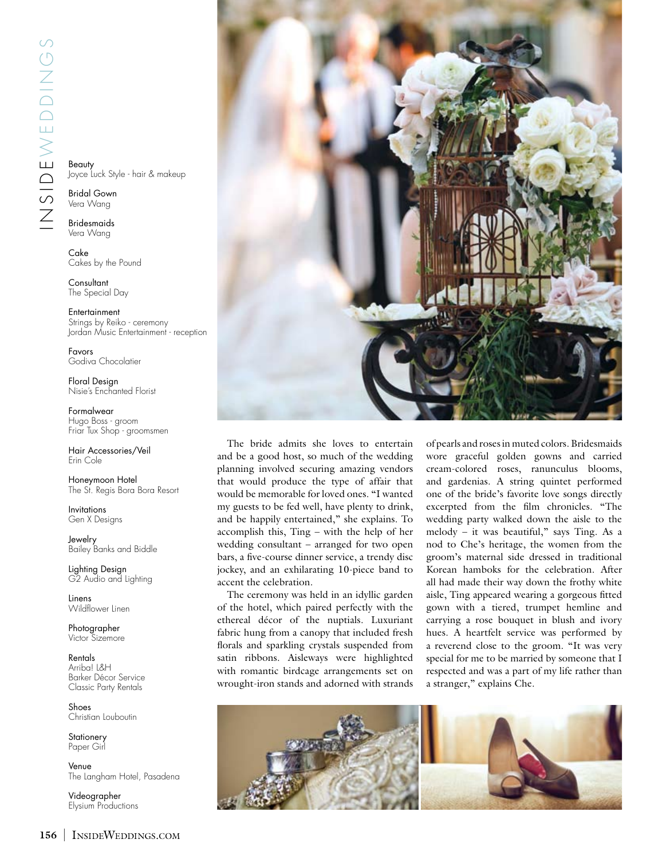Beauty Joyce Luck Style - hair & makeup

Bridal Gown Vera Wang

Bridesmaids Vera Wang

Cake Cakes by the Pound

**Consultant** The Special Day

**Entertainment** Strings by Reiko - ceremony Jordan Music Entertainment - reception

Favors Godiva Chocolatier

Floral Design Nisie's Enchanted Florist

Formalwear Hugo Boss - groom Friar Tux Shop - groomsmen

Hair Accessories/Veil Erin Cole

Honeymoon Hotel The St. Regis Bora Bora Resort

Invitations Gen X Designs

**Jewelry** Bailey Banks and Biddle

Lighting Design G2 Audio and Lighting

Linens Wildflower Linen

Photographer Victor Sizemore

Rentals Arriba! L&H Barker Décor Service Classic Party Rentals

Shoes Christian Louboutin

**Stationery** Paper Girl

Venue The Langham Hotel, Pasadena

Videographer Elysium Productions



The bride admits she loves to entertain and be a good host, so much of the wedding planning involved securing amazing vendors that would produce the type of affair that would be memorable for loved ones. "I wanted my guests to be fed well, have plenty to drink, and be happily entertained," she explains. To accomplish this, Ting – with the help of her wedding consultant – arranged for two open bars, a five-course dinner service, a trendy disc jockey, and an exhilarating 10-piece band to accent the celebration.

The ceremony was held in an idyllic garden of the hotel, which paired perfectly with the ethereal décor of the nuptials. Luxuriant fabric hung from a canopy that included fresh florals and sparkling crystals suspended from satin ribbons. Aisleways were highlighted with romantic birdcage arrangements set on wrought-iron stands and adorned with strands of pearls and roses in muted colors. Bridesmaids wore graceful golden gowns and carried cream-colored roses, ranunculus blooms, and gardenias. A string quintet performed one of the bride's favorite love songs directly excerpted from the film chronicles. "The wedding party walked down the aisle to the melody – it was beautiful," says Ting. As a nod to Che's heritage, the women from the groom's maternal side dressed in traditional Korean hamboks for the celebration. After all had made their way down the frothy white aisle, Ting appeared wearing a gorgeous fitted gown with a tiered, trumpet hemline and carrying a rose bouquet in blush and ivory hues. A heartfelt service was performed by a reverend close to the groom. "It was very special for me to be married by someone that I respected and was a part of my life rather than a stranger," explains Che.

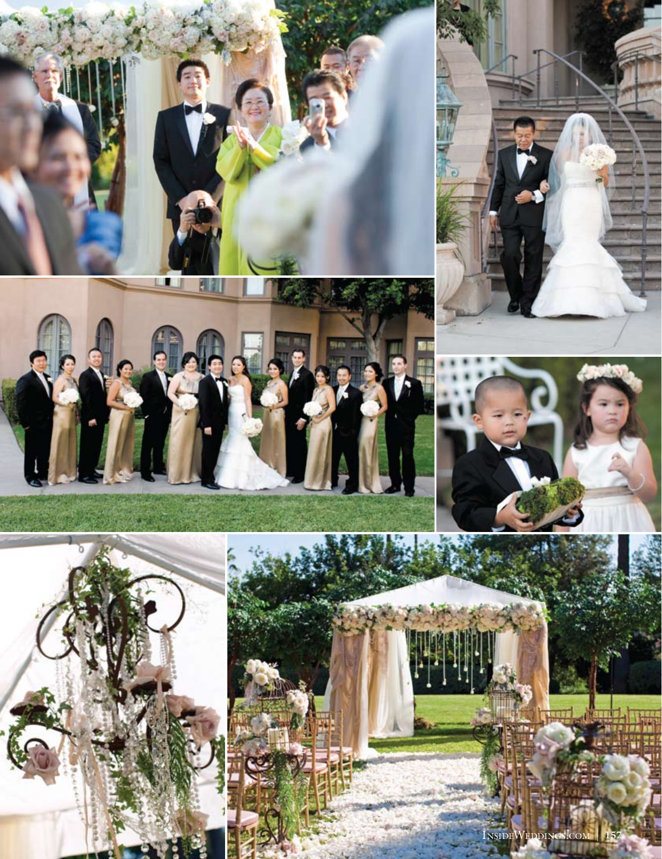







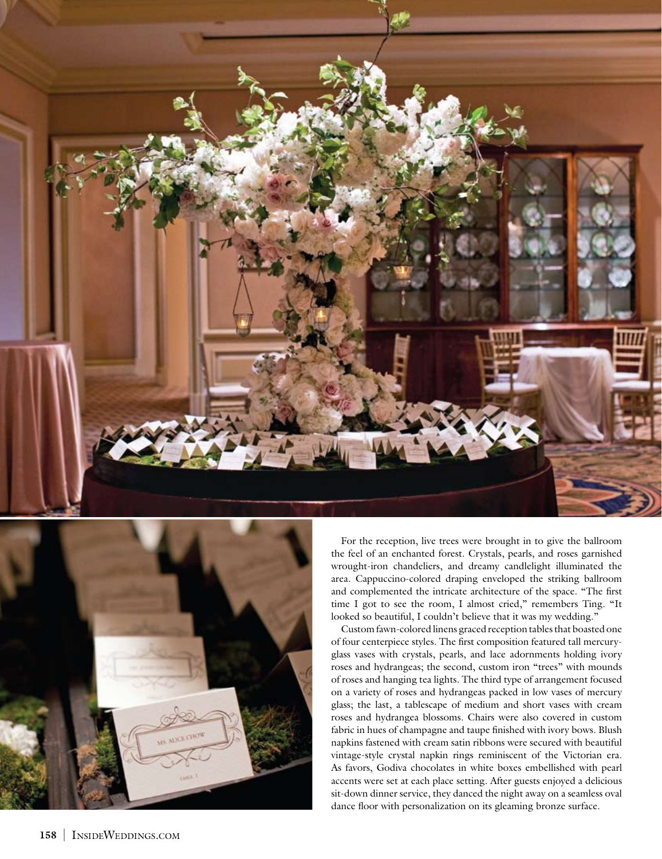



For the reception, live trees were brought in to give the ballroom the feel of an enchanted forest. Crystals, pearls, and roses garnished wrought-iron chandeliers, and dreamy candlelight illuminated the area. Cappuccino-colored draping enveloped the striking ballroom and complemented the intricate architecture of the space. "The first time I got to see the room, I almost cried," remembers Ting. "It looked so beautiful, I couldn't believe that it was my wedding."

Custom fawn-colored linens graced reception tables that boasted one of four centerpiece styles. The first composition featured tall mercuryglass vases with crystals, pearls, and lace adornments holding ivory roses and hydrangeas; the second, custom iron "trees" with mounds of roses and hanging tea lights. The third type of arrangement focused on a variety of roses and hydrangeas packed in low vases of mercury glass; the last, a tablescape of medium and short vases with cream roses and hydrangea blossoms. Chairs were also covered in custom fabric in hues of champagne and taupe finished with ivory bows. Blush napkins fastened with cream satin ribbons were secured with beautiful vintage-style crystal napkin rings reminiscent of the Victorian era. As favors, Godiva chocolates in white boxes embellished with pearl accents were set at each place setting. After guests enjoyed a delicious sit-down dinner service, they danced the night away on a seamless oval dance floor with personalization on its gleaming bronze surface.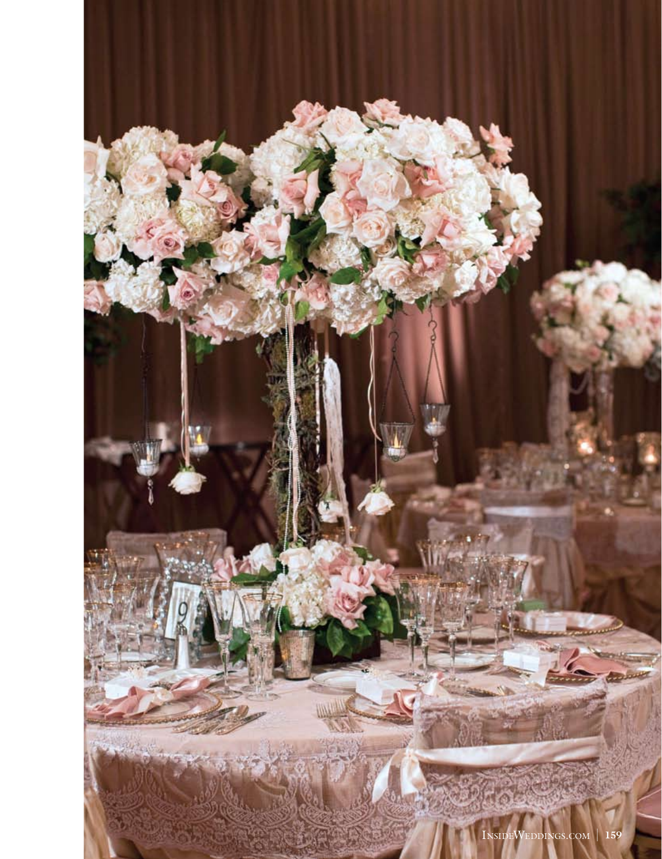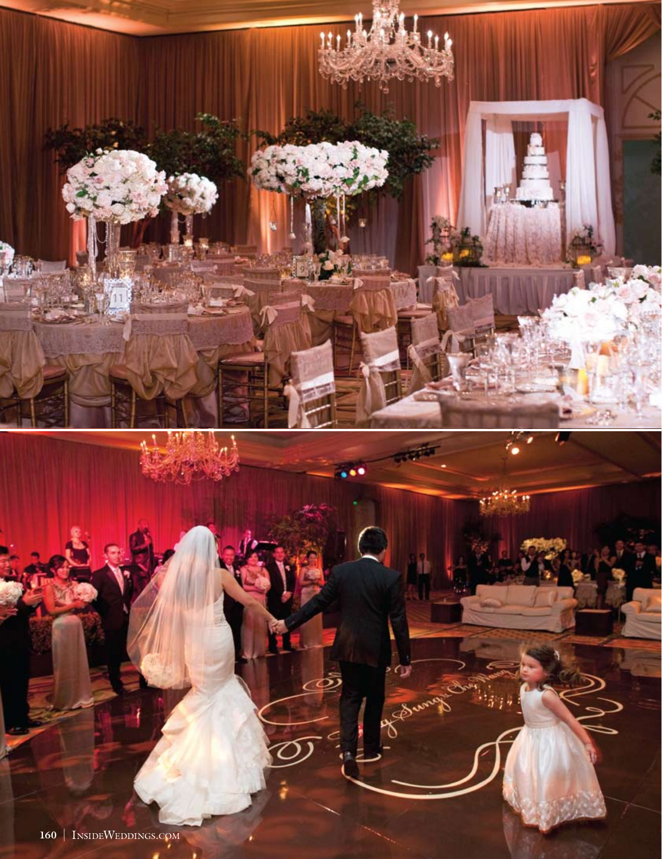